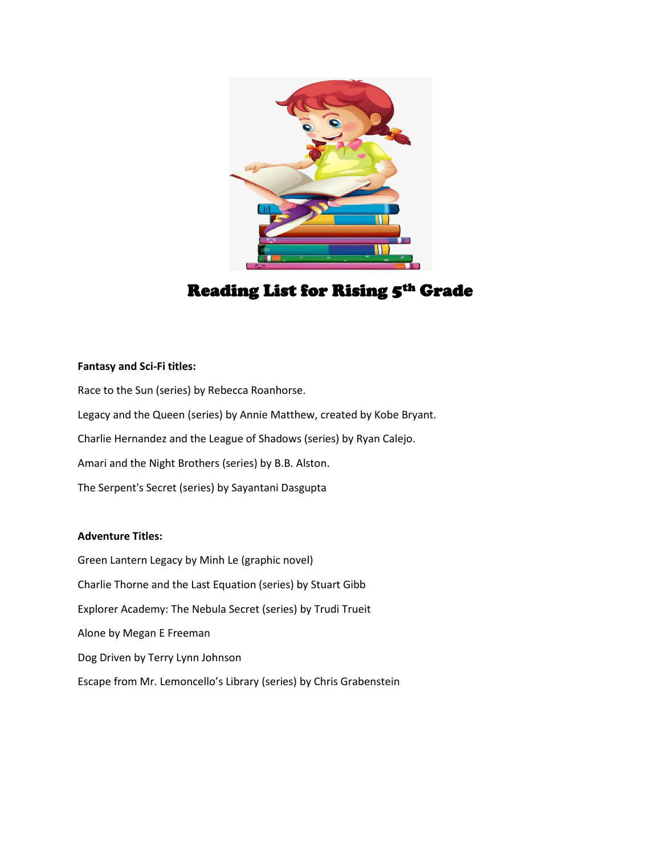

# Reading List for Rising 5th Grade

## **Fantasy and Sci-Fi titles:**

Race to the Sun (series) by Rebecca Roanhorse. Legacy and the Queen (series) by Annie Matthew, created by Kobe Bryant. Charlie Hernandez and the League of Shadows (series) by Ryan Calejo. Amari and the Night Brothers (series) by B.B. Alston. The Serpent's Secret (series) by Sayantani Dasgupta

# **Adventure Titles:**

Green Lantern Legacy by Minh Le (graphic novel) Charlie Thorne and the Last Equation (series) by Stuart Gibb Explorer Academy: The Nebula Secret (series) by Trudi Trueit Alone by Megan E Freeman Dog Driven by Terry Lynn Johnson Escape from Mr. Lemoncello's Library (series) by Chris Grabenstein